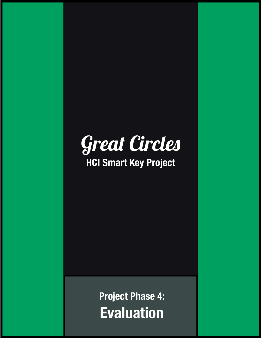

## **HCI Smart Key Project**

**Project Phase 4: Evaluation**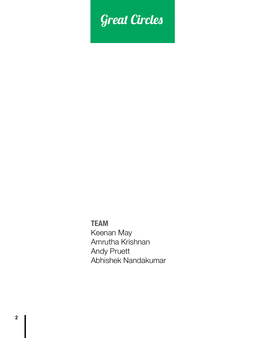# Great Circles

**TEAM** Keenan May Amrutha Krishnan Andy Pruett Abhishek Nandakumar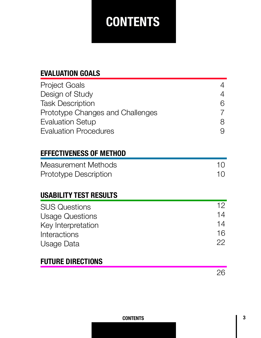# **CONTENTS**

## **EVALUATION GOALS**

| <b>Project Goals</b><br>Design of Study<br><b>Task Description</b><br>Prototype Changes and Challenges<br><b>Evaluation Setup</b> | 4<br>6<br>8           |
|-----------------------------------------------------------------------------------------------------------------------------------|-----------------------|
| <b>Evaluation Procedures</b><br><b>EFFECTIVENESS OF METHOD</b>                                                                    | 9                     |
| <b>Measurement Methods</b><br><b>Prototype Description</b><br><b>USABILITY TEST RESULTS</b>                                       | 10<br>10              |
| <b>SUS Questions</b><br><b>Usage Questions</b>                                                                                    | 12.<br>$\overline{4}$ |

| <b>Usage Questions</b> | 14 |
|------------------------|----|
| Key Interpretation     | 14 |
| Interactions           | 16 |
| Usage Data             | 22 |

## **FUTURE DIRECTIONS**

26

#### **CONTENTS**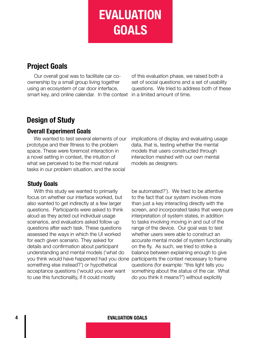**EVALUATION GOALS**

## **Project Goals**

Our overall goal was to facilitate car coownership by a small group living together using an ecosystem of car door interface, smart key, and online calendar. In the context

of this evaluation phase, we raised both a set of social questions and a set of usability questions. We tried to address both of these in a limited amount of time.

## **Design of Study**

#### **Overall Experiment Goals**

We wanted to test several elements of our prototype and their fitness to the problem space. These were foremost interaction in a novel setting in context, the intuition of what we perceived to be the most natural tasks in our problem situation, and the social

#### **Study Goals**

With this study we wanted to primarily focus on whether our interface worked, but also wanted to get indirectly at a few larger questions. Participants were asked to think aloud as they acted out individual usage scenarios, and evaluators asked follow up questions after each task. These questions assessed the ways in which the UI worked for each given scenario. They asked for details and confirmation about participant understanding and mental models ('what do you think would have happened had you done something else instead?') or hypothetical acceptance questions ('would you ever want to use this functionality, if it could mostly

implications of display and evaluating usage data, that is, testing whether the mental models that users constructed through interaction meshed with our own mental models as designers.

be automated?'). We tried to be attentive to the fact that our system involves more than just a key interacting directly with the screen, and incorporated tasks that were pure interpretation of system states, in addition to tasks involving moving in and out of the range of the device. Our goal was to test whether users were able to construct an accurate mental model of system functionality on the fly. As such, we tried to strike a balance between explaining enough to give participants the context necessary to frame questions (for example: "this light tells you something about the status of the car. What do you think it means?") without explicitly

#### **4 EVALUATION GOALS**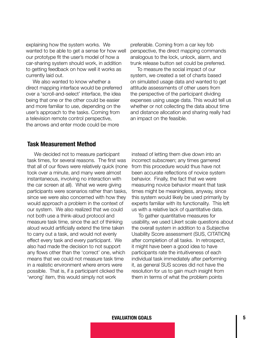explaining how the system works. We wanted to be able to get a sense for how well our prototype fit the user's model of how a car-sharing system should work, in addition to getting feedback on how well it works as currently laid out.

We also wanted to know whether a direct mapping interface would be preferred over a 'scroll-and-select' interface, the idea being that one or the other could be easier and more familiar to use, depending on the user's approach to the tasks. Coming from a television remote control perspective, the arrows and enter mode could be more

preferable. Coming from a car key fob perspective, the direct mapping commands analogous to the lock, unlock, alarm, and trunk release button set could be preferred.

To measure the social impact of our system, we created a set of charts based on simulated usage data and wanted to get attitude assessments of other users from the perspective of the participant dividing expenses using usage data. This would tell us whether or not collecting the data about time and distance allocation and sharing really had an impact on the feasible.

#### **Task Measurement Method**

We decided not to measure participant task times, for several reasons. The first was that all of our flows were relatively quick (none took over a minute, and many were almost instantaneous, involving no interaction with the car screen at all). What we were giving participants were scenarios rather than tasks, since we were also concerned with how they would approach a problem in the context of our system. We also realized that we could not both use a think-aloud protocol and measure task time, since the act of thinking aloud would artificially extend the time taken to carry out a task, and would not evenly effect every task and every participant. We also had made the decision to not support any flows other than the 'correct' one, which means that we could not measure task time in a realistic environment where errors were possible. That is, if a participant clicked the 'wrong' item, this would simply not work

instead of letting them dive down into an incorrect subscreen; any times garnered from this procedure would thus have not been accurate reflections of novice system behavior. Finally, the fact that we were measuring novice behavior meant that task times might be meaningless, anyway, since this system would likely be used primarily by experts familiar with its functionality. This left us with a relative lack of quantitative data.

To gather quantitative measures for usability, we used Likert scale questions about the overall system in addition to a Subjective Usability Score assessment (SUS, CITATION) after completion of all tasks. In retrospect, it might have been a good idea to have participants rate the intuitiveness of each individual task immediately after performing it, as general SUS scores did not have the resolution for us to gain much insight from them in terms of what the problem points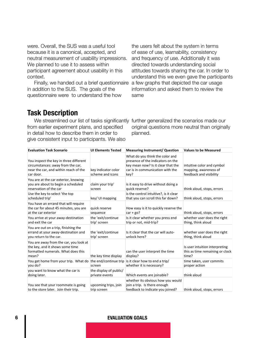were. Overall, the SUS was a useful tool because it is a canonical, accepted, and neutral measurement of usability impressions. We planned to use it to assess within participant agreement about usability in this context.

Finally, we handed out a brief questionnaire in addition to the SUS. The goals of the questionnaire were to understand the how

the users felt about the system in terms of ease of use, learnability, consistency and frequency of use. Additionally it was directed towards understanding social attitudes towards sharing the car. In order to understand this we even gave the participants a few graphs that depicted the car usage information and asked them to review the same

#### **Task Description**

We streamlined our list of tasks significantly further generalized the scenarios made our from earlier experiment plans, and specified in detail how to describe them in order to give consistent input to participants. We also

original questions more neutral than originally planned.

| <b>Evaluation Task Scenario</b>                                                                                                   | <b>UI Elements Tested</b>                | <b>Measuring Instrument/ Question</b>                                                                                                                  | <b>Values to be Measured</b>                                                   |
|-----------------------------------------------------------------------------------------------------------------------------------|------------------------------------------|--------------------------------------------------------------------------------------------------------------------------------------------------------|--------------------------------------------------------------------------------|
| You inspect the key in three different<br>circumstances: away from the car,<br>near the car, and within reach of the<br>car door. | key indicator color<br>scheme and icons  | What do you think the color and<br>presence of the indicators on the<br>key mean now? Is it clear that the<br>car is in communication with the<br>key? | intuitive color and cymbol<br>mapping, awareness of<br>feedback and visibility |
| You are at the car exterior, knowing<br>you are about to begin a scheduled<br>reservation of the car                              | claim your trip'<br>screen               | is it easy to drive without doing a<br>quick reserve?                                                                                                  | think aloud, stops, errors                                                     |
| Use the key to select 'the top<br>scheduled trip'                                                                                 | key/ UI mapping                          | is the control intuitive?, is it clear<br>that you can scroll this far down?                                                                           | think aloud, stops, errors                                                     |
| You have an errand that will require<br>the car for about 45 minutes, you are<br>at the car exterior                              | quick reserve<br>sequence                | How easy is it to quickly reserve the<br>$car + go?$                                                                                                   | think aloud, stops, errors                                                     |
| You arrive at your away-destination<br>and exit the car                                                                           | the 'exit/continue<br>trip' screen       | Is it clear whether you press end<br>trip or not, mid-trip?                                                                                            | whether user does the right<br>thing, think aloud                              |
| You are out on a trip, finishing the<br>errand at your away-destination and<br>you return to the car.                             | the 'exit/continue<br>trip' screen       | Is it clear that the car will auto-<br>unlock here?                                                                                                    | whether user does the right<br>thing, think aloud                              |
| You are away from the car, you look at<br>the key, and it shows some time<br>formatted numerals. What does this<br>mean?          | the key time display                     | can the user interpret the time<br>display?                                                                                                            | Is user intuition interpreting<br>this as time remaining or clock<br>time?     |
| You get home from your trip. What do the end/continue trip is it clear how to end a trip/<br>you do?                              | screen                                   | whether it is necessary?                                                                                                                               | time taken, user commits<br>proper action                                      |
| you want to know what the car is<br>doing later.                                                                                  | the display of public/<br>private events | Which events are joinable?                                                                                                                             | think aloud                                                                    |
| You see that your roommate is going<br>to the store later. Join their trip.                                                       | upcoming trips, join<br>trip screen      | whether its obvious how you would<br>join a trip. Is there enough<br>feedback to indicate you joined?                                                  | think aloud, stops, errors                                                     |

#### **6 EVALUATION GOALS**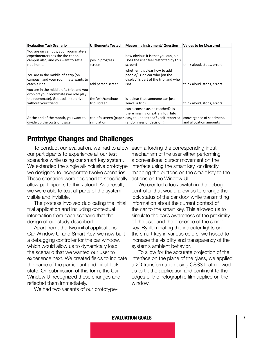| <b>Evaluation Task Scenario</b>                                                                                                                 | <b>UI Elements Tested</b>          | <b>Measuring Instrument/ Question</b>                                                                                                                       | <b>Values to be Measured</b>                        |
|-------------------------------------------------------------------------------------------------------------------------------------------------|------------------------------------|-------------------------------------------------------------------------------------------------------------------------------------------------------------|-----------------------------------------------------|
| You are on campus, your roommate(en<br>experimenter) has the the car on<br>campus also, and you want to get a<br>ride home.                     | join in progress<br>screen         | how obvious it is that you can join.<br>Does the user feel restricted by this<br>screen?                                                                    | think aloud, stops, errors                          |
| You are in the middle of a trip (on<br>campus), and your roommate wants to<br>catch a ride.                                                     | add person screen                  | whether it is clear how to add<br>people/ is it clear who (on the<br>display) is part of the trip, and who<br>isnt                                          | think aloud, stops, errors                          |
| you are in the middle of a trip, and you<br>drop off your roommate (we role play<br>the roommate). Get back in to drive<br>without your friend. | the 'exit/continue<br>trip' screen | is it clear that someone can just<br>'leave' a trip?                                                                                                        | think aloud, stops, errors                          |
| At the end of the month, you want to<br>divide up the costs of usage.                                                                           | simulation)                        | can a consensus be reached? Is<br>there missing or extra info? Info<br>car info screen (paper easy to understand?, self-reported<br>randomness of decision? | convergence of sentiment,<br>and allocation amounts |

## **Prototype Changes and Challenges**

To conduct our evaluation, we had to allow each affording the corresponding input our participants to experience all our test scenarios while using our smart key system. We extended the single all-inclusive prototype we designed to incorporate twelve scenarios. These scenarios were designed to specifically allow participants to think aloud. As a result, we were able to test all parts of the system visible and invisible.

The process involved duplicating the initial trial application and including contextual information from each scenario that the design of our study described.

Apart fromt the two initial applications - Car Window UI and Smart Key, we now built a debugging controller for the car window, which would allow us to dynamically load the scenario that we wanted our user to experience next. We created fields to indicate the name of the participant and initial lock state. On submission of this form, the Car Window UI recognized these changes and reflected them immediately.

We had two variants of our prototype-

mechanism of the user either performing a conventional cursor movement on the interface using the smart key, or directly mapping the buttons on the smart key to the actions on the Window UI.

We created a lock switch in the debug controller that would allow us to change the lock status of the car door while transmitting information about the current context of the car to the smart key. This allowed us to simulate the car's awareness of the proximity of the user and the presence of the smart key. By illuminating the indicator lights on the smart key in various colors, we hoped to increase the visibility and transparency of the system's ambient behavior.

To allow for the accurate projection of the interface on the plane of the glass, we applied a 2D transformation using CSS3 that allowed us to tilt the application and confine it to the edges of the holographic film applied on the window.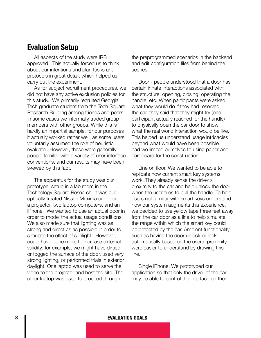### **Evaluation Setup**

All aspects of the study were IRB approved. This actually forced us to think about our intentions and plan tasks and protocols in great detail, which helped us carry out the experiment.

As for subject recruitment procedures, we did not have any active exclusion policies for this study. We primarily recruited Georgia Tech graduate student from the Tech Square Research Building among friends and peers. In some cases we informally traded group members with other groups. While this is hardly an impartial sample, for our purposes it actually worked rather well, as some users voluntarily assumed the role of heuristic evaluator. However, these were generally people familiar with a variety of user interface conventions, and our results may have been skewed by this fact.

The apparatus for the study was our prototype, setup in a lab room in the Technology Square Research. It was our optically treated Nissan Maxima car door, a projector, two laptop computers, and an iPhone. We wanted to use an actual door in order to model the actual usage conditions. We also made sure that lighting was as strong and direct as as possible in order to simulate the effect of sunlight. However, could have done more to increase external validity; for example, we might have dirtied or fogged the surface of the door, used very strong lighting, or performed trials in exterior daylight. One laptop was used to serve the video to the projector and host the site. The other laptop was used to proceed through

the preprogrammed scenarios in the backend and edit configuration files from behind the scenes.

Door - people understood that a door has certain innate interactions associated with the structure: opening, closing, operating the handle, etc. When participants were asked what they would do if they had reserved the car, they said that they might try (one participant actually reached for the handle) to physically open the car door to show what the real world interaction would be like. This helped us understand usage intricacies beyond what would have been possible had we limited ourselves to using paper and cardboard for the construction.

Line on floor. We wanted to be able to replicate how current smart key systems work. They already sense the driver's proximity to the car and help unlock the door when the user tries to pull the handle. To help users not familiar with smart keys understand how our system augments this experience, we decided to use yellow tape three feet away from the car door as a line to help simulate the range within which the smart key could be detected by the car. Ambient functionality such as having the door unlock or lock automatically based on the users' proximity were easier to understand by drawing this line.

Single iPhone: We prototyped our application so that only the driver of the car may be able to control the interface on their

#### **8 EVALUATION GOALS**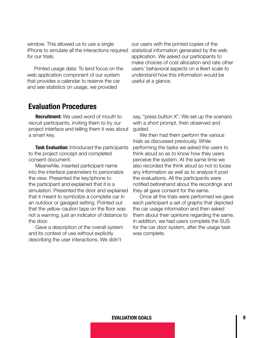window. This allowed us to use a single iPhone to simulate all the interactions required for our trials.

Printed usage data: To lend focus on the web application component of our system that provides a calendar to reserve the car and see statistics on usage, we provided

### **Evaluation Procedures**

**Recruitment:** We used word of mouth to recruit participants, inviting them to try our project interface and telling them it was about a smart key.

**Task Evaluation:** Introduced the participants to the project concept and completed consent document.

Meanwhile, inserted participant name into the interface parameters to personalize the view. Presented the key/iphone to the participant and explained that it is a simulation. Presented the door and explained that it meant to symbolize a complete car in an outdoor or garaged setting. Pointed out that the yellow caution tape on the floor was not a warning, just an indicator of distance to the door.

Gave a description of the overall system and its context of use without explicitly describing the user interactions. We didn't

our users with the printed copies of the statistical information generated by the web application. We asked our participants to make choices of cost allocation and rate other users' behavioral aspects on a likert scale to understand how this information would be useful at a glance.

say, "press button X". We set up the scenario with a short prompt, then observed and guided.

We then had them perform the various trials as discussed previously. While performing the tasks we asked the users to think aloud so as to know how they users perceive the system. At the same time we also recorded the think aloud so not to loose any information as well as to analyze it post the evaluations. All the participants were notified beforehand about the recordings and they all gave consent for the same.

Once all the trials were performed we gave each participant a set of graphs that depicted the car usage information and then asked them about their opinions regarding the same. In addition, we had users complete the SUS for the car door system, after the usage task was complete.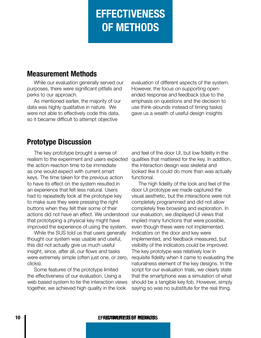# **EFFECTIVENESS OF METHODS**

## **Measurement Methods**

While our evaluation generally served our purposes, there were significant pitfalls and perks to our approach.

As mentioned earlier, the majority of our data was highly qualitative in nature. We were not able to effectively code this data, so it became difficult to attempt objective

evaluation of different aspects of the system. However, the focus on supporting openended response and feedback (due to the emphasis on questions and the decision to use think-alounds instead of timing tasks) gave us a wealth of useful design insights

## **Prototype Discussion**

The key prototype brought a sense of realism to the experiment and users expected the action-reaction time to be immediate as one would expect with current smart keys. The time taken for the previous action to have its effect on the system resulted in an experience that felt less natural. Users had to repeatedly look at the prototype key to make sure they were pressing the right buttons when they felt their some of their actions did not have an effect. We understood that prototyping a physical key might have improved the experience of using the system.

While the SUS told us that users generally thought our system was usable and useful, this did not actually give us much useful insight, since, after all, our flows and tasks were extremely simple (often just one, or zero, clicks).

Some features of the prototype limited the effectiveness of our evaluation. Using a web based system to tie the interaction views together, we achieved high quality in the look

and feel of the door UI, but low fidelity in the qualities that mattered for the key. In addition, the interaction design was skeletal and looked like it could do more than was actually functional.

The high fidelity of the look and feel of the door UI prototype we made captured the visual aesthetic, but the interactions were not completely programmed and did not allow completely free browsing and exploration. In our evaluation, we displayed UI views that implied many functions that were possible, even though these were not implemented. Indicators on the door and key were implemented, and feedback measured, but visibility of the indicators could be improved. The key prototype was relatively low in requisite fidelity when it came to evaluating the naturalness element of the key designs. In the script for our evaluation trials, we clearly state that the smartphone was a simulation of what should be a tangible key fob. However, simply saying so was no substitute for the real thing.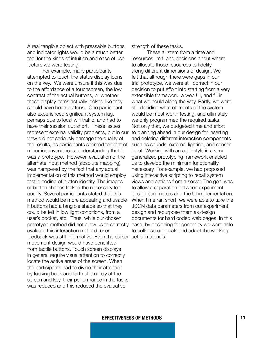A real tangible object with pressable buttons and indicator lights would be a much better tool for the kinds of intuition and ease of use factors we were testing.

For example, many participants attempted to touch the status display icons on the key. We were unsure if this was due to the affordance of a touchscreen, the low contrast of the actual buttons, or whether these display items actually looked like they should have been buttons. One participant also experienced significant system lag, perhaps due to local wifi traffic, and had to have their session cut short. These issues represent external validity problems, but in our view did not seriously damage the quality of the results, as participants seemed tolerant of minor inconveniences, understanding that it was a prototype. However, evaluation of the alternate input method (absolute mapping) was hampered by the fact that any actual implementation of this method would employ tactile coding of button identity. The images of button shapes lacked the necessary feel quality. Several participants stated that this method would be more appealing and usable if buttons had a tangible shape so that they could be felt in low light conditions, from a user's pocket, etc. Thus, while our chosen prototype method did not allow us to correctly evaluate this interaction method, user feedback was still informative. Even the cursor set of materials.movement design would have benefitted from tactile buttons. Touch screen displays in general require visual attention to correctly locate the active areas of the screen. When the participants had to divide their attention by looking back and forth alternately at the screen and key, their performance in the tasks was reduced and this reduced the evaluative

strength of these tasks.

These all stem from a time and resources limit, and decisions about where to allocate those resources to fidelity along different dimensions of design. We felt that although there were gaps in our trial prototype, we were still correct in our decision to put effort into starting from a very extensible framework, a web UI, and fill in what we could along the way. Partly, we were still deciding what elements of the system would be most worth testing, and ultimately we only programmed the required tasks. Not only that, we budgeted time and effort to planning ahead in our design for inserting and deleting different interaction components such as sounds, external lighting, and sensor input. Working with an agile style in a very generalized prototyping framework enabled us to develop the minimum functionality necessary. For example, we had proposed using interactive scripting to recall system views and actions from a server. The goal was to allow a separation between experiment design parameters and the UI implementation. When time ran short, we were able to take the JSON data parameters from our experiment design and repurpose them as design documents for hard coded web pages. In this case, by designing for generality we were able to collapse our goals and adapt the working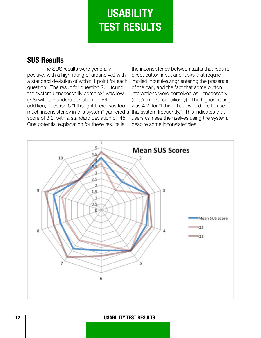# **USABILITY TEST RESULTS**

## **SUS Results**

The SUS results were generally positive, with a high rating of around 4.0 with a standard deviation of within 1 point for each question. The result for question 2, "I found the system unnecessarily complex" was low (2.8) with a standard deviation of .84. In addition, question 6 "I thought there was too much inconsistency in this system" garnered a this system frequently." This indicates that score of 3.2, with a standard deviation of .45. One potential explanation for these results is

the inconsistency between tasks that require direct button input and tasks that require implied input (leaving/ entering the presence of the car), and the fact that some button interactions were perceived as unnecessary (add/remove, specifically). The highest rating was 4.2, for "I think that I would like to use users can see themselves using the system, despite some inconsistencies.



**12 USABILITY TEST RESULTS**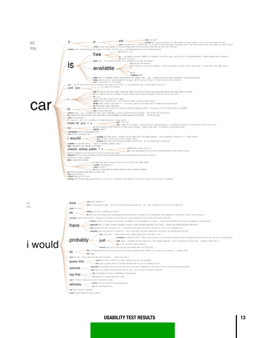

#### **USABILITY TEST RESULTS 13**

definitely check the car to see the upcoming trips

**Add** Ska to make it joinable. know clearly what the terms means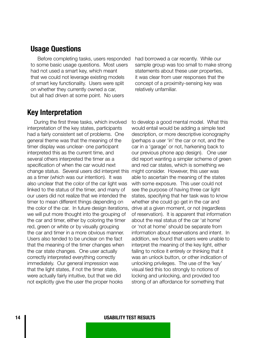#### **Usage Questions**

Before completing tasks, users responded to some basic usage questions. Most users had not used a smart key, which meant that we could not leverage existing models of smart key functionality. Users were split on whether they currently owned a car, but all had driven at some point. No users

had borrowed a car recently. While our sample group was too small to make strong statements about these user properties, it was clear from user responses that the concept of a proximity-sensing key was relatively unfamiliar.

### **Key Interpretation**

During the first three tasks, which involved interpretation of the key states, participants had a fairly consistent set of problems. One general theme was that the meaning of the timer display was unclear- one participant interpreted this as the current time, and several others interpreted the timer as a specification of when the car would next change status. Several users did interpret this as a timer (which was our intention). It was also unclear that the color of the car light was linked to the status of the timer, and many of our users did not realize that we intended the timer to mean different things depending on the color of the car. In future design iterations, we will put more thought into the grouping of the car and timer, either by coloring the timer red, green or white or by visually grouping the car and timer in a more obvious manner. Users also tended to be unclear on the fact that the meaning of the timer changes when the car state changes. One user actually correctly interpreted everything correctly immediately. Our general impression was that the light states, if not the timer state, were actually fairly intuitive, but that we did not explicitly give the user the proper hooks

to develop a good mental model. What this would entail would be adding a simple text description, or more descriptive iconography (perhaps a user 'in' the car or not, and the car in a 'garage' or not, harkening back to our previous phone app design). One user did report wanting a simpler scheme of green and red car states, which is something we might consider. However, this user was able to ascertain the meaning of the states with some exposure. This user could not see the purpose of having three car light states, specifying that her task was to know whether she could go get in the car and drive at a given moment, or not (regardless of reservation). It is apparent that information about the real status of the car 'at home' or 'not at home' should be separate from information about reservations and intent. In addition, we found that users were unable to interpret the meaning of the key light, either failing to notice it entirely or thinking that it was an unlock button, or other indication of unlocking privileges. The use of the 'key' visual tied this too strongly to notions of locking and unlocking, and provided too strong of an affordance for something that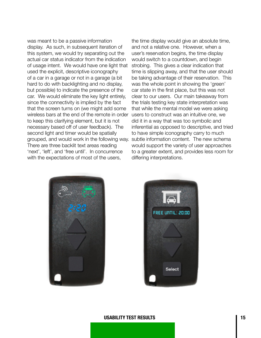was meant to be a passive information display. As such, in subsequent iteration of this system, we would try separating out the actual car status indicator from the indication of usage intent. We would have one light that used the explicit, descriptive iconography of a car in a garage or not in a garage (a bit hard to do with backlighting and no display, but possible) to indicate the presence of the car. We would eliminate the key light entirely, since the connectivity is implied by the fact that the screen turns on (we might add some wireless bars at the end of the remote in order to keep this clarifying element, but it is not necessary based off of user feedback). The second light and timer would be spatially grouped, and would work in the following way. There are three backlit text areas reading 'next', 'left', and 'free until'. In concurrence with the expectations of most of the users,

the time display would give an absolute time, and not a relative one. However, when a user's reservation begins, the time display would switch to a countdown, and begin strobing. This gives a clear indication that time is slipping away, and that the user should be taking advantage of their reservation. This was the whole point in showing the 'green' car state in the first place, but this was not clear to our users. Our main takeaway from the trials testing key state interpretation was that while the mental model we were asking users to construct was an intuitive one, we did it in a way that was too symbolic and inferential as opposed to descriptive, and tried to have simple iconography carry to much subtle information content. The new schema would support the variety of user approaches to a greater extent, and provides less room for differing interpretations.





#### **USABILITY TEST RESULTS 15**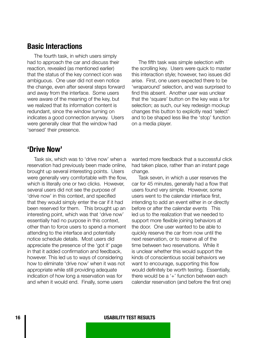#### **Basic Interactions**

The fourth task, in which users simply had to approach the car and discuss their reaction, revealed (as mentioned earlier) that the status of the key connect icon was ambiguous. One user did not even notice the change, even after several steps forward and away from the interface. Some users were aware of the meaning of the key, but we realized that its information content is redundant, since the window turning on indicates a good connection anyway. Users were generally clear that the window had 'sensed' their presence.

The fifth task was simple selection with the scrolling key. Users were quick to master this interaction style; however, two issues did arise. First, one users expected there to be 'wraparound' selection, and was surprised to find this absent. Another user was unclear that the 'square' button on the key was a for selection; as such, our key redesign mockup changes this button to explicitly read 'select' and to be shaped less like the 'stop' function on a media player.

#### **'Drive Now'**

Task six, which was to 'drive now' when a reservation had previously been made online, brought up several interesting points. Users were generally very comfortable with the flow, which is literally one or two clicks. However, several users did not see the purpose of 'drive now' in this context, and specified that they would simply enter the car if it had been reserved for them. This brought up an interesting point, which was that 'drive now' essentially had no purpose in this context, other than to force users to spend a moment attending to the interface and potentially notice schedule details. Most users did appreciate the presence of the 'got it' page in that it added confirmation and feedback, however. This led us to ways of considering how to eliminate 'drive now' when it was not appropriate while still providing adequate indication of how long a reservation was for and when it would end. Finally, some users

wanted more feedback that a successful click had taken place, rather than an instant page change.

Task seven, in which a user reserves the car for 45 minutes, generally had a flow that users found very simple. However, some users went to the calendar interface first, intending to add an event either in or directly before or after the calendar events This led us to the realization that we needed to support more flexible joining behaviors at the door. One user wanted to be able to quickly reserve the car from now until the next reservation, or to reserve all of the time between two reservations. While it is unclear whether this would support the kinds of conscientious social behaviors we want to encourage, supporting this flow would definitely be worth testing. Essentially, there would be a '+' function between each calendar reservation (and before the first one)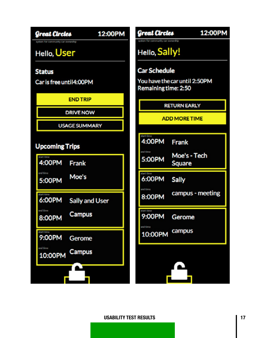**Great Circles** 

## 12:00PM

## Hello, User

#### **Status**

Car is free until4:00PM

**END TRIP** 

**DRIVE NOW** 

**USAGE SUMMARY** 

### **Upcoming Trips**



Great Circles 12:00PM Hello, Sally! **Car Schedule** You have the car until 2:50PM Remaining time: 2:50 **RETURN EARLY ADD MORE TIME** 4:00PM Frank Moe's - Tech 5:00PM Square

6:00PM Sally

campus - meeting 8:00PM

9:00PM Gerome

campus 10:00PM

#### **USABILITY TEST RESULTS 17**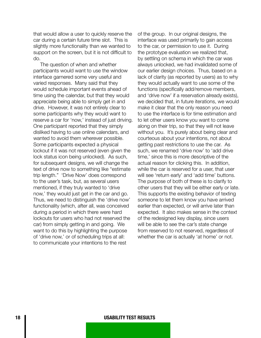that would allow a user to quickly reserve the car during a certain future time slot. This is slightly more functionality than we wanted to support on the screen, but it is not difficult to do.

The question of when and whether participants would want to use the window interface garnered some very useful and varied responses. Many said that they would schedule important events ahead of time using the calendar, but that they would appreciate being able to simply get in and drive. However, it was not entirely clear to some participants why they would want to reserve a car for 'now,' instead of just driving. One participant reported that they simply disliked having to use online calendars, and wanted to avoid them wherever possible. Some participants expected a physical lockout if it was not reserved (even given the lock status icon being unlocked). As such, for subsequent designs, we will change the text of drive now to something like "estimate trip length." 'Drive Now' does correspond to the user's task, but, as several users mentioned, if they truly wanted to 'drive now,' they would just get in the car and go. Thus, we need to distinguish the 'drive now' functionality (which, after all, was conceived during a period in which there were hard lockouts for users who had not reserved the car) from simply getting in and going. We want to do this by highlighting the purpose of 'drive now,' or of scheduling trips at all: to communicate your intentions to the rest

of the group. In our original designs, the interface was used primarily to gain access to the car, or permission to use it. During the prototype evaluation we realized that, by settling on schema in which the car was always unlocked, we had invalidated some of our earlier design choices. Thus, based on a lack of clarity (as reported by users) as to why they would actually want to use some of the functions (specifically add/remove members, and 'drive now' if a reservation already exists), we decided that, in future iterations, we would make it clear that the only reason you need to use the interface is for time estimation and to let other users know you want to come along on their trip, so that they will not leave without you. It's purely about being clear and courteous about your intentions, not about getting past restrictions to use the car. As such, we renamed 'drive now' to 'add drive time,' since this is more descriptive of the actual reason for clicking this. In addition, while the car is reserved for a user, that user will see 'return early' and 'add time' buttons. The purpose of both of these is to clarify to other users that they will be either early or late. This supports the existing behavior of texting someone to let them know you have arrived earlier than expected, or will arrive later than expected. It also makes sense in the context of the redesigned key display, since users will be able to see the car's state change from reserved to not reserved, regardless of whether the car is actually 'at home' or not.

#### **18 USABILITY TEST RESULTS**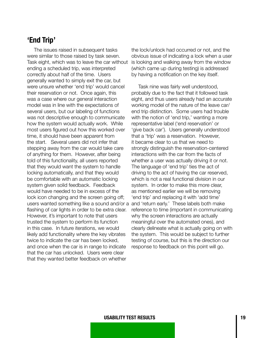## **'End Trip'**

The issues raised in subsequent tasks were similar to those raised by task seven. Task eight, which was to leave the car without ending a scheduled trip, was interpreted correctly about half of the time. Users generally wanted to simply exit the car, but were unsure whether 'end trip' would cancel their reservation or not. Once again, this was a case where our general interaction model was in line with the expectations of several users, but our labeling of functions was not descriptive enough to communicate how the system would actually work. While most users figured out how this worked over time, it should have been apparent from the start. Several users did not infer that stepping away from the car would take care of anything for them. However, after being told of this functionality, all users reported that they would want the system to handle locking automatically, and that they would be comfortable with an automatic locking system given solid feedback. Feedback would have needed to be in excess of the lock icon changing and the screen going off; users wanted something like a sound and/or a and 'return early.' These labels both make flashing of car lights in order to be extra clear. However, it's important to note that users trusted the system to perform its function in this case. In future iterations, we would likely add functionality where the key vibrates twice to indicate the car has been locked, and once when the car is in range to indicate that the car has unlocked. Users were clear that they wanted better feedback on whether

the lock/unlock had occurred or not, and the obvious issue of indicating a lock when a user is looking and walking away from the window (which came up during testing) is addressed by having a notification on the key itself.

Task nine was fairly well understood, probably due to the fact that it followed task eight, and thus users already had an accurate working model of the nature of the leave car/ end trip distinction. Some users had trouble with the notion of 'end trip,' wanting a more representative label ('end reservation' or 'give back car'). Users generally understood that a 'trip' was a reservation. However, it became clear to us that we need to strongly distinguish the reservation-centered interactions with the car from the facts of whether a user was actually driving it or not. The language of 'end trip' ties the act of driving to the act of having the car reserved, which is not a real functional division in our system. In order to make this more clear, as mentioned earlier we will be removing 'end trip' and replacing it with 'add time' reference to time (important in communicating why the screen interactions are actually meaningful over the automated ones), and clearly delineate what is actually going on with the system. This would be subject to further testing of course, but this is the direction our response to feedback on this point will go.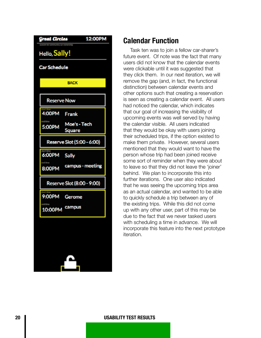| Great Circles       |                            | 12:00PM |
|---------------------|----------------------------|---------|
| Hello, Sally!       |                            |         |
| <b>Car Schedule</b> |                            |         |
|                     | <b>BACK</b>                |         |
| <b>Reserve Now</b>  |                            |         |
| 4:00PM              | Frank                      |         |
| 5:00PM              | Moe's - Tech<br>Square     |         |
|                     | Reserve Slot (5:00 - 6:00) |         |
| 6:00PM              | Sally                      |         |
| 8:00PM              | campus - meeting           |         |
|                     | Reserve Slot (8:00 - 9:00) |         |
| 9:00PM              | Gerome                     |         |
| 10:00PM             | campus                     |         |
|                     |                            |         |
|                     |                            |         |
|                     |                            |         |
|                     |                            |         |
|                     |                            |         |

### **Calendar Function**

Task ten was to join a fellow car-sharer's future event. Of note was the fact that many users did not know that the calendar events were clickable until it was suggested that they click them. In our next iteration, we will remove the gap (and, in fact, the functional distinction) between calendar events and other options such that creating a reservation is seen as creating a calendar event. All users had noticed the calendar, which indicates that our goal of increasing the visibility of upcoming events was well served by having the calendar visible. All users indicated that they would be okay with users joining their scheduled trips, if the option existed to make them private. However, several users mentioned that they would want to have the person whose trip had been joined receive some sort of reminder when they were about to leave so that they did not leave the 'joiner' behind. We plan to incorporate this into further iterations. One user also indicated that he was seeing the upcoming trips area as an actual calendar, and wanted to be able to quickly schedule a trip between any of the existing trips. While this did not come up with any other user, part of this may be due to the fact that we never tasked users with scheduling a time in advance. We will incorporate this feature into the next prototype iteration.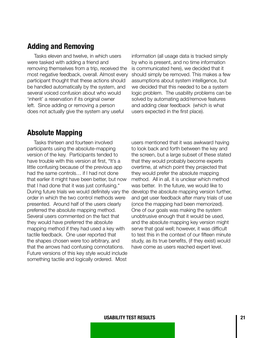### **Adding and Removing**

Tasks eleven and twelve, in which users were tasked with adding a friend and removing themselves from a trip, received the most negative feedback, overall. Almost every participant thought that these actions should be handled automatically by the system, and several voiced confusion about who would 'inherit' a reservation if its original owner left. Since adding or removing a person does not actually give the system any useful

information (all usage data is tracked simply by who is present, and no time information is communicated here), we decided that it should simply be removed. This makes a few assumptions about system intelligence, but we decided that this needed to be a system logic problem. The usability problems can be solved by automating add/remove features and adding clear feedback (which is what users expected in the first place).

## **Absolute Mapping**

Tasks thirteen and fourteen involved participants using the absolute-mapping version of the key. Participants tended to have trouble with this version at first, "It's a little confusing because of the previous app had the same controls… if I had not done that earlier it might have been better, but now that I had done that it was just confusing." During future trials we would definitely vary the order in which the two control methods were presented. Around half of the users clearly preferred the absolute mapping method. Several users commented on the fact that they would have preferred the absolute mapping method if they had used a key with tactile feedback. One user reported that the shapes chosen were too arbitrary, and that the arrows had confusing connotations. Future versions of this key style would include something tactile and logically ordered. Most

users mentioned that it was awkward having to look back and forth between the key and the screen, but a large subset of these stated that they would probably become experts overtime, at which point they projected that they would prefer the absolute mapping method. All in all, it is unclear which method was better. In the future, we would like to develop the absolute mapping version further, and get user feedback after many trials of use (once the mapping had been memorized). One of our goals was making the system unobtrusive enough that it would be used, and the absolute mapping key version might serve that goal well; however, it was difficult to test this in the context of our fifteen minute study, as its true benefits, (if they exist) would have come as users reached expert level.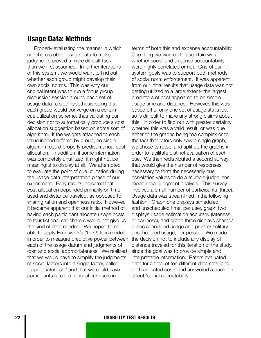#### **Usage Data: Methods**

Properly evaluating the manner in which car sharers utilize usage data to make judgments proved a more difficult task than we first assumed. In further iterations of this system, we would want to find out whether each group might develop their own social norms. This was why our original intent was to run a focus group discussion session around each set of usage data- a side hypothesis being that each group would converge on a certain cue utilization scheme, thus validating our decision not to automatically produce a cost allocation suggestion based on some sort of algorithm. If the weights attached to each value indeed differed by group, no single algorithm could properly predict manual cost allocation. In addition, if some information was completely unutilized, it might not be meaningful to display at all. We attempted to evaluate the point of cue utilization during the usage data interpretation phase of our experiment. Early results indicated that cost allocation depended primarily on time used and distance traveled, as opposed to sharing ration and openness ratio. However, it became apparent that our initial method of having each participant allocate usage costs to four fictional car-sharers would not give us the kind of data needed. We hoped to be able to apply Brunswick's (1952) lens model in order to measure predictive power between each of the usage datum and judgments of cost and social appropriateness. We realized that we would have to simplify the judgments of social factors into a single factor, called 'appropriateness,' and that we could have participants rate the fictional car users in

terms of both this and expense accountability. One thing we wanted to ascertain was whether social and expense accountability were highly correlated or not. One of our system goals was to support both methods of social norm enforcement. It was apparent from our initial results that usage data was not getting utilized to a large extent- the largest predictors of cost appeared to be simple usage time and distance. However, this was based off of only one set of usage statistics, so is difficult to make any strong claims about this. In order to find out with greater certainty whether this was a valid result, or was due either to the graphs being too complex or to the fact that raters only saw a single graph, we chose to retool and split up the graphs in order to facilitate distinct evaluation of each cue. We then redistributed a second survey that would give the number of responses necessary to form the necessarily cue correlation values to do a multiple-judge lens mode linear judgment analysis. This survey involved a small number of participants (three). Usage data was streamlined in the following fashion: Graph one displays scheduled and unscheduled time, per user, graph two displays usage estimation accuracy (lateness or earliness), and graph three displays shared/ public scheduled usage and private/ solitary unscheduled usage, per person. We made the decision not to include any display of distance traveled for this iteration of the study, since the goal was to provide simple and interpretable information. Raters evaluated data for a total of ten different data sets, and both allocated costs and answered a question about 'social acceptability.'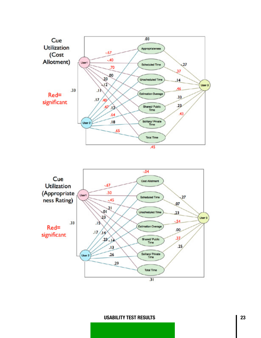

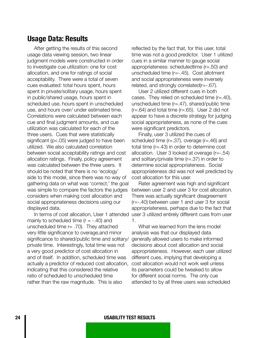#### **Usage Data: Results**

After getting the results of this second usage data viewing session, two linear judgment models were constructed in order to investigate cue utilization: one for cost allocation, and one for ratings of social acceptability. There were a total of seven cues evaluated: total hours spent, hours spent in private/solitary usage, hours spent in public/shared usage, hours spent in scheduled use, hours spent in unscheduled use, and hours over/ under estimated time. Correlations were calculated between each cue and final judgment amounts, and cue utilization was calculated for each of the three users. Cues that were statistically significant (p<.05) were judged to have been utilized. We also calculated correlation between social acceptability ratings and cost allocation ratings. Finally, policy agreement was calculated between the three users. It should be noted that there is no 'ecology' side to this model, since there was no way of gathering data on what was 'correct;' the goal was simple to compare the factors the judges considers when making cost allocation and social appropriateness decisions using our displayed data.

mainly to scheduled time  $(r = -.40)$  and unscheduled time  $r = .70$ ). They attached very little significance to overage,and minor significance to shared/public time and solitary/ private time. Interestingly, total time was not a very good predictor of cost allocation in and of itself. In addition, scheduled time was actually a predictor of reduced cost allocation, indicating that this considered the relative ratio of scheduled to unscheduled time rather than the raw magnitude. This is also

reflected by the fact that, for this user, total time was not a good predictor. User 1 utilized cues in a similar manner to gauge social appropriateness: scheduledtime (r=.50) and unscheduled time (r=-.45). Cost allotment and social appropriateness were inversely related, and strongly correlated(r=-.67).

User 2 utilized different cues in both cases. They relied on scheduled time (r=.40), unscheduled time  $(r=.47)$ , shared/public time  $(r=.64)$  and total time  $(r=.65)$ . User 2 did not appear to have a discrete strategy for judging social appropriateness, as none of the cues were significant predictors.

Finally, user 3 utilized the cues of scheduled time (r=.37), overage (r=.46) and total time (r=.43) in order to determine cost allocation. User 3 looked at overage (r=-.54) and solitary/private time (r=.37) in order to determine social appropriateness. Social appropriateness did was not well predicted by cost allocation for this user.

In terms of cost allocation, User 1 attended user 3 utilized entirely different cues from user Rater agreement was high and significant between user 2 and user 3 for cost allocation. There was actually significant disagreement (r=-.40) between user 1 and user 3 for social appropriateness, perhaps due to the fact that 1.

> What we learned from the lens model analysis was that our displayed data generally allowed users to make informed decisions about cost allocation and social appropriateness. However, each user utilized different cues, implying that developing a cost allocation would not work well unless its parameters could be tweaked to allow for different social norms. The only cue attended to by all three users was scheduled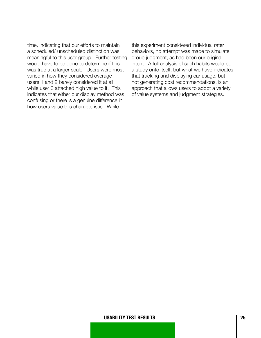time, indicating that our efforts to maintain a scheduled/ unscheduled distinction was meaningful to this user group. Further testing would have to be done to determine if this was true at a larger scale. Users were most varied in how they considered overageusers 1 and 2 barely considered it at all, while user 3 attached high value to it. This indicates that either our display method was confusing or there is a genuine difference in how users value this characteristic. While

this experiment considered individual rater behaviors, no attempt was made to simulate group judgment, as had been our original intent. A full analysis of such habits would be a study onto itself, but what we have indicates that tracking and displaying car usage, but not generating cost recommendations, is an approach that allows users to adopt a variety of value systems and judgment strategies.

#### **USABILITY TEST RESULTS 25**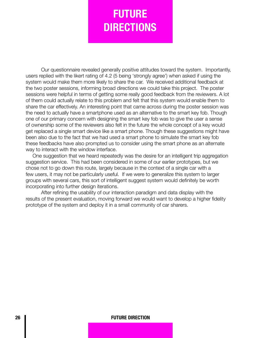## **FUTURE DIRECTIONS**

Our questionnaire revealed generally positive attitudes toward the system. Importantly, users replied with the likert rating of 4.2 (5 being 'strongly agree') when asked if using the system would make them more likely to share the car. We received additional feedback at the two poster sessions, informing broad directions we could take this project. The poster sessions were helpful in terms of getting some really good feedback from the reviewers. A lot of them could actually relate to this problem and felt that this system would enable them to share the car effectively. An interesting point that came across during the poster session was the need to actually have a smartphone used as an alternative to the smart key fob. Though one of our primary concern with designing the smart key fob was to give the user a sense of ownership some of the reviewers also felt in the future the whole concept of a key would get replaced a single smart device like a smart phone. Though these suggestions might have been also due to the fact that we had used a smart phone to simulate the smart key fob these feedbacks have also prompted us to consider using the smart phone as an alternate way to interact with the window interface.

One suggestion that we heard repeatedly was the desire for an intelligent trip aggregation suggestion service. This had been considered in some of our earlier prototypes, but we chose not to go down this route, largely because in the context of a single car with a few users, it may not be particularly useful. If we were to generalize this system to larger groups with several cars, this sort of intelligent suggest system would definitely be worth incorporating into further design iterations.

After refining the usability of our interaction paradigm and data display with the results of the present evaluation, moving forward we would want to develop a higher fidelity prototype of the system and deploy it in a small community of car sharers.